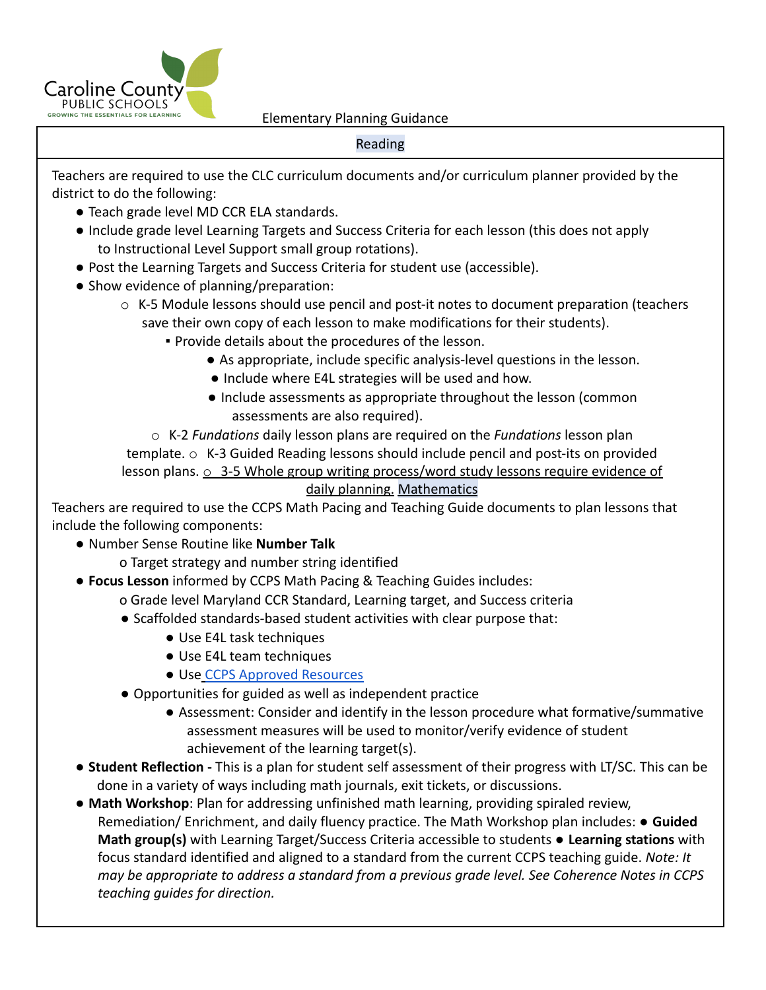

## Reading

Teachers are required to use the CLC curriculum documents and/or curriculum planner provided by the district to do the following:

- Teach grade level MD CCR ELA standards.
- Include grade level Learning Targets and Success Criteria for each lesson (this does not apply to Instructional Level Support small group rotations).
- Post the Learning Targets and Success Criteria for student use (accessible).
- Show evidence of planning/preparation:
	- o K-5 Module lessons should use pencil and post-it notes to document preparation (teachers save their own copy of each lesson to make modifications for their students).
		- Provide details about the procedures of the lesson.
			- As appropriate, include specific analysis-level questions in the lesson.
			- Include where E4L strategies will be used and how.
			- Include assessments as appropriate throughout the lesson (common assessments are also required).

o K-2 *Fundations* daily lesson plans are required on the *Fundations* lesson plan template. o K-3 Guided Reading lessons should include pencil and post-its on provided lesson plans.  $\circ$  3-5 Whole group writing process/word study lessons require evidence of daily planning. Mathematics

Teachers are required to use the CCPS Math Pacing and Teaching Guide documents to plan lessons that include the following components:

- Number Sense Routine like **Number Talk**
	- o Target strategy and number string identified
- **Focus Lesson** informed by CCPS Math Pacing & Teaching Guides includes:
	- o Grade level Maryland CCR Standard, Learning target, and Success criteria
	- Scaffolded standards-based student activities with clear purpose that:
		- Use E4L task techniques
		- Use E4L team techniques
		- Use CCPS Approved Resources
	- Opportunities for guided as well as independent practice
		- Assessment: Consider and identify in the lesson procedure what formative/summative assessment measures will be used to monitor/verify evidence of student achievement of the learning target(s).
- **Student Reflection -** This is a plan for student self assessment of their progress with LT/SC. This can be done in a variety of ways including math journals, exit tickets, or discussions.
- **Math Workshop**: Plan for addressing unfinished math learning, providing spiraled review, Remediation/ Enrichment, and daily fluency practice. The Math Workshop plan includes: **● Guided Math group(s)** with Learning Target/Success Criteria accessible to students ● **Learning stations** with focus standard identified and aligned to a standard from the current CCPS teaching guide. *Note: It may be appropriate to address a standard from a previous grade level. See Coherence Notes in CCPS teaching guides for direction.*